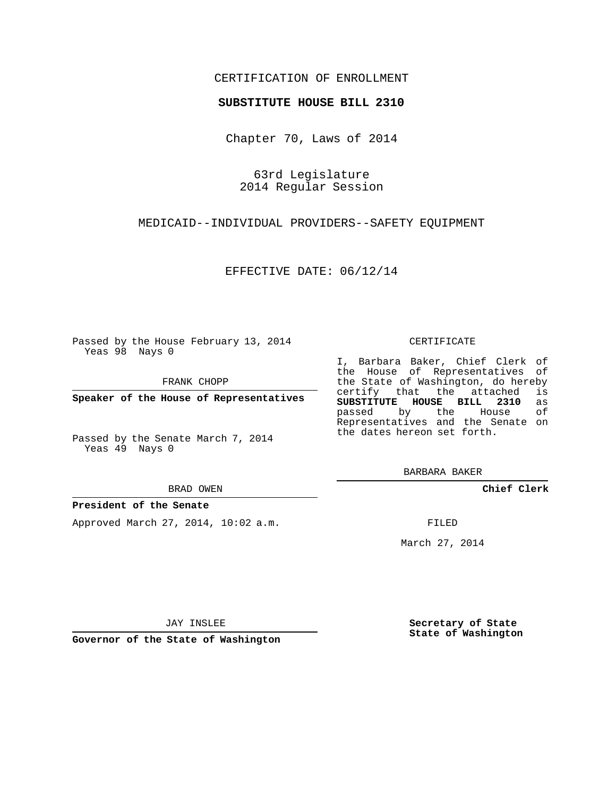## CERTIFICATION OF ENROLLMENT

### **SUBSTITUTE HOUSE BILL 2310**

Chapter 70, Laws of 2014

63rd Legislature 2014 Regular Session

MEDICAID--INDIVIDUAL PROVIDERS--SAFETY EQUIPMENT

EFFECTIVE DATE: 06/12/14

Passed by the House February 13, 2014 Yeas 98 Nays 0

FRANK CHOPP

**Speaker of the House of Representatives**

Passed by the Senate March 7, 2014 Yeas 49 Nays 0

BRAD OWEN

### **President of the Senate**

Approved March 27, 2014, 10:02 a.m.

#### CERTIFICATE

I, Barbara Baker, Chief Clerk of the House of Representatives of the State of Washington, do hereby<br>certify that the attached is certify that the attached **SUBSTITUTE HOUSE BILL 2310** as passed by the House of Representatives and the Senate on the dates hereon set forth.

BARBARA BAKER

**Chief Clerk**

FILED

March 27, 2014

JAY INSLEE

**Governor of the State of Washington**

**Secretary of State State of Washington**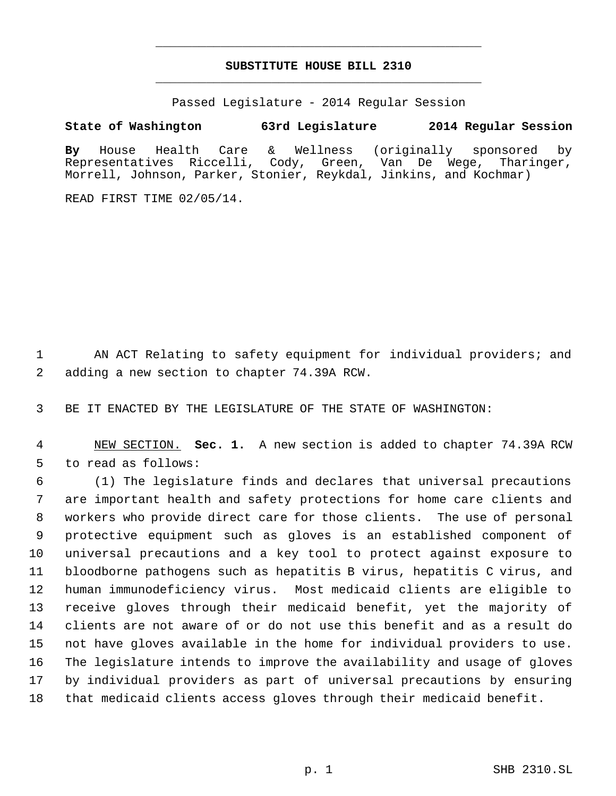# **SUBSTITUTE HOUSE BILL 2310** \_\_\_\_\_\_\_\_\_\_\_\_\_\_\_\_\_\_\_\_\_\_\_\_\_\_\_\_\_\_\_\_\_\_\_\_\_\_\_\_\_\_\_\_\_

\_\_\_\_\_\_\_\_\_\_\_\_\_\_\_\_\_\_\_\_\_\_\_\_\_\_\_\_\_\_\_\_\_\_\_\_\_\_\_\_\_\_\_\_\_

Passed Legislature - 2014 Regular Session

**State of Washington 63rd Legislature 2014 Regular Session**

**By** House Health Care & Wellness (originally sponsored by Representatives Riccelli, Cody, Green, Van De Wege, Tharinger, Morrell, Johnson, Parker, Stonier, Reykdal, Jinkins, and Kochmar)

READ FIRST TIME 02/05/14.

 AN ACT Relating to safety equipment for individual providers; and adding a new section to chapter 74.39A RCW.

BE IT ENACTED BY THE LEGISLATURE OF THE STATE OF WASHINGTON:

 NEW SECTION. **Sec. 1.** A new section is added to chapter 74.39A RCW to read as follows:

 (1) The legislature finds and declares that universal precautions are important health and safety protections for home care clients and workers who provide direct care for those clients. The use of personal protective equipment such as gloves is an established component of universal precautions and a key tool to protect against exposure to bloodborne pathogens such as hepatitis B virus, hepatitis C virus, and human immunodeficiency virus. Most medicaid clients are eligible to receive gloves through their medicaid benefit, yet the majority of clients are not aware of or do not use this benefit and as a result do not have gloves available in the home for individual providers to use. The legislature intends to improve the availability and usage of gloves by individual providers as part of universal precautions by ensuring that medicaid clients access gloves through their medicaid benefit.